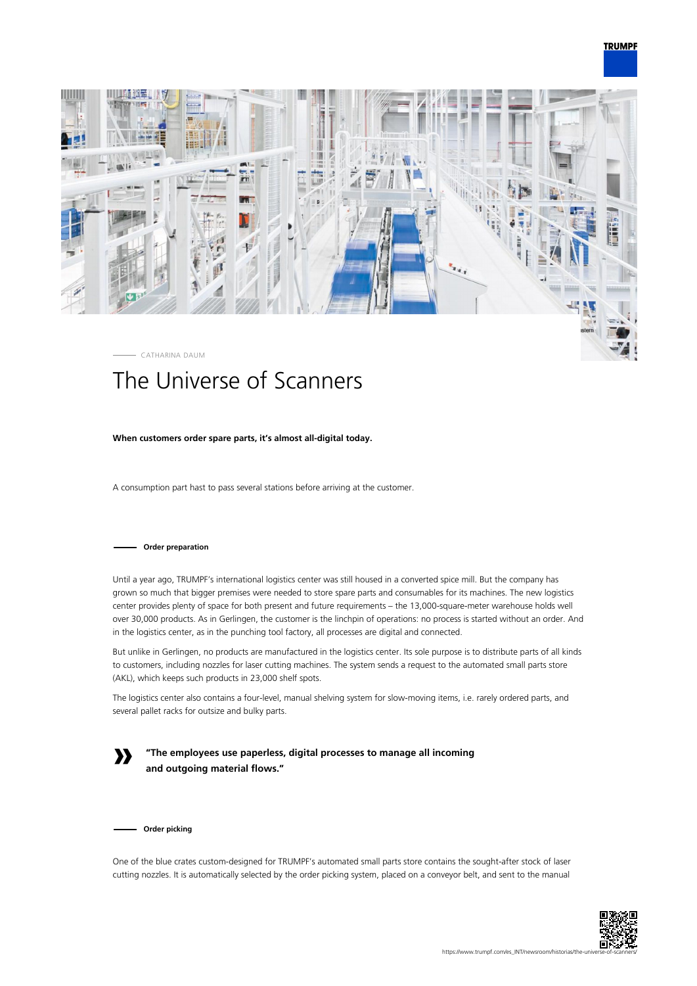



# The Universe of Scanners

## **When customers order spare parts, it's almost all-digital today.**

A consumption part hast to pass several stations before arriving at the customer.

### **Order preparation**

Until a year ago, TRUMPF's international logistics center was still housed in a converted spice mill. But the company has grown so much that bigger premises were needed to store spare parts and consumables for its machines. The new logistics center provides plenty of space for both present and future requirements – the 13,000-square-meter warehouse holds well over 30,000 products. As in Gerlingen, the customer is the linchpin of operations: no process is started without an order. And in the logistics center, as in the punching tool factory, all processes are digital and connected.

But unlike in Gerlingen, no products are manufactured in the logistics center. Its sole purpose is to distribute parts of all kinds to customers, including nozzles for laser cutting machines. The system sends a request to the automated small parts store (AKL), which keeps such products in 23,000 shelf spots.

The logistics center also contains a four-level, manual shelving system for slow-moving items, i.e. rarely ordered parts, and several pallet racks for outsize and bulky parts.

**»**

**"The employees use paperless, digital processes to manage all incoming and outgoing material flows."**

**Order picking**

One of the blue crates custom-designed for TRUMPF's automated small parts store contains the sought-after stock of laser cutting nozzles. It is automatically selected by the order picking system, placed on a conveyor belt, and sent to the manual

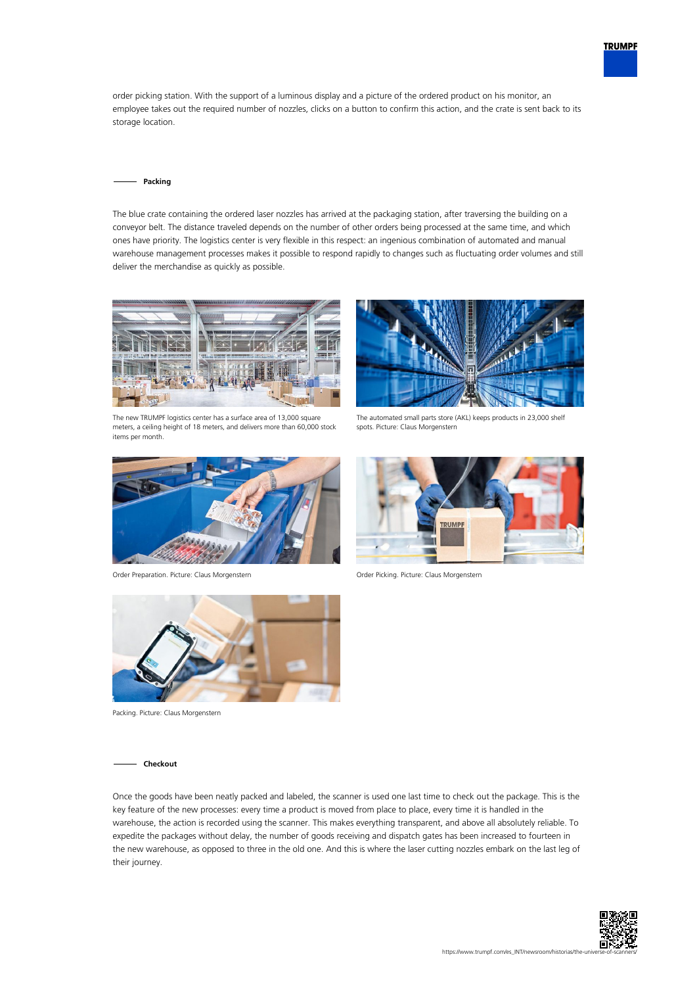

order picking station. With the support of a luminous display and a picture of the ordered product on his monitor, an employee takes out the required number of nozzles, clicks on a button to confirm this action, and the crate is sent back to its storage location.

#### **Packing**

The blue crate containing the ordered laser nozzles has arrived at the packaging station, after traversing the building on a conveyor belt. The distance traveled depends on the number of other orders being processed at the same time, and which ones have priority. The logistics center is very flexible in this respect: an ingenious combination of automated and manual warehouse management processes makes it possible to respond rapidly to changes such as fluctuating order volumes and still deliver the merchandise as quickly as possible.



The new TRUMPF logistics center has a surface area of 13,000 square meters, a ceiling height of 18 meters, and delivers more than 60,000 stock items per month.



Order Preparation. Picture: Claus Morgenstern Order Picking. Picture: Claus Morgenstern



The automated small parts store (AKL) keeps products in 23,000 shelf spots. Picture: Claus Morgenstern





Packing. Picture: Claus Morgenstern

#### **Checkout**

Once the goods have been neatly packed and labeled, the scanner is used one last time to check out the package. This is the key feature of the new processes: every time a product is moved from place to place, every time it is handled in the warehouse, the action is recorded using the scanner. This makes everything transparent, and above all absolutely reliable. To expedite the packages without delay, the number of goods receiving and dispatch gates has been increased to fourteen in the new warehouse, as opposed to three in the old one. And this is where the laser cutting nozzles embark on the last leg of their journey.